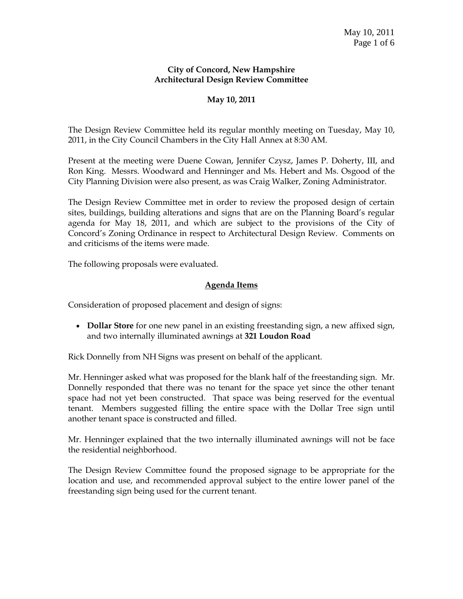#### **City of Concord, New Hampshire Architectural Design Review Committee**

## **May 10, 2011**

The Design Review Committee held its regular monthly meeting on Tuesday, May 10, 2011, in the City Council Chambers in the City Hall Annex at 8:30 AM.

Present at the meeting were Duene Cowan, Jennifer Czysz, James P. Doherty, III, and Ron King. Messrs. Woodward and Henninger and Ms. Hebert and Ms. Osgood of the City Planning Division were also present, as was Craig Walker, Zoning Administrator.

The Design Review Committee met in order to review the proposed design of certain sites, buildings, building alterations and signs that are on the Planning Board's regular agenda for May 18, 2011, and which are subject to the provisions of the City of Concord's Zoning Ordinance in respect to Architectural Design Review. Comments on and criticisms of the items were made.

The following proposals were evaluated.

## **Agenda Items**

Consideration of proposed placement and design of signs:

 **Dollar Store** for one new panel in an existing freestanding sign, a new affixed sign, and two internally illuminated awnings at **321 Loudon Road**

Rick Donnelly from NH Signs was present on behalf of the applicant.

Mr. Henninger asked what was proposed for the blank half of the freestanding sign. Mr. Donnelly responded that there was no tenant for the space yet since the other tenant space had not yet been constructed. That space was being reserved for the eventual tenant. Members suggested filling the entire space with the Dollar Tree sign until another tenant space is constructed and filled.

Mr. Henninger explained that the two internally illuminated awnings will not be face the residential neighborhood.

The Design Review Committee found the proposed signage to be appropriate for the location and use, and recommended approval subject to the entire lower panel of the freestanding sign being used for the current tenant.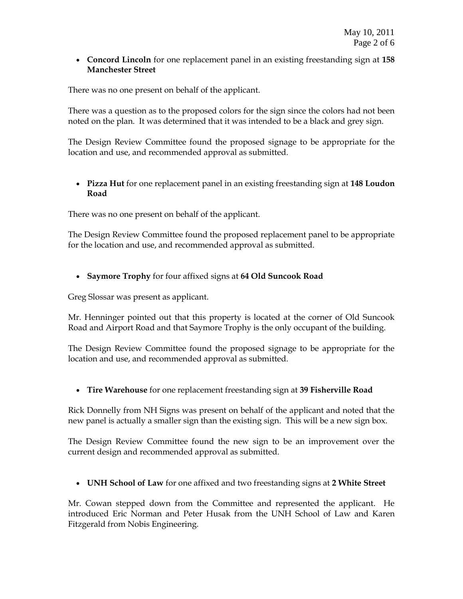**Concord Lincoln** for one replacement panel in an existing freestanding sign at **158 Manchester Street**

There was no one present on behalf of the applicant.

There was a question as to the proposed colors for the sign since the colors had not been noted on the plan. It was determined that it was intended to be a black and grey sign.

The Design Review Committee found the proposed signage to be appropriate for the location and use, and recommended approval as submitted.

 **Pizza Hut** for one replacement panel in an existing freestanding sign at **148 Loudon Road**

There was no one present on behalf of the applicant.

The Design Review Committee found the proposed replacement panel to be appropriate for the location and use, and recommended approval as submitted.

**Saymore Trophy** for four affixed signs at **64 Old Suncook Road**

Greg Slossar was present as applicant.

Mr. Henninger pointed out that this property is located at the corner of Old Suncook Road and Airport Road and that Saymore Trophy is the only occupant of the building.

The Design Review Committee found the proposed signage to be appropriate for the location and use, and recommended approval as submitted.

**Tire Warehouse** for one replacement freestanding sign at **39 Fisherville Road** 

Rick Donnelly from NH Signs was present on behalf of the applicant and noted that the new panel is actually a smaller sign than the existing sign. This will be a new sign box.

The Design Review Committee found the new sign to be an improvement over the current design and recommended approval as submitted.

**UNH School of Law** for one affixed and two freestanding signs at **2 White Street**

Mr. Cowan stepped down from the Committee and represented the applicant. He introduced Eric Norman and Peter Husak from the UNH School of Law and Karen Fitzgerald from Nobis Engineering.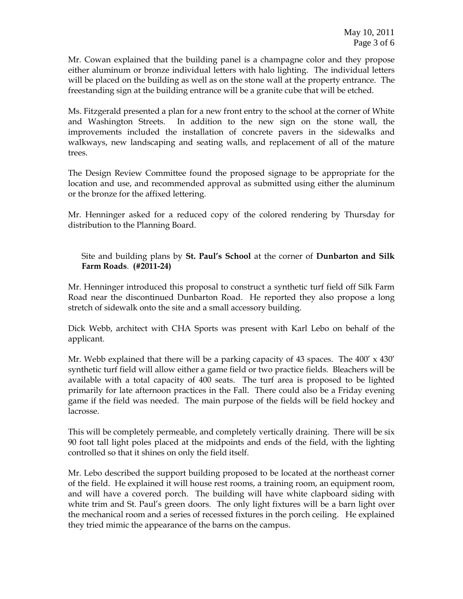Mr. Cowan explained that the building panel is a champagne color and they propose either aluminum or bronze individual letters with halo lighting. The individual letters will be placed on the building as well as on the stone wall at the property entrance. The freestanding sign at the building entrance will be a granite cube that will be etched.

Ms. Fitzgerald presented a plan for a new front entry to the school at the corner of White and Washington Streets. In addition to the new sign on the stone wall, the improvements included the installation of concrete pavers in the sidewalks and walkways, new landscaping and seating walls, and replacement of all of the mature trees.

The Design Review Committee found the proposed signage to be appropriate for the location and use, and recommended approval as submitted using either the aluminum or the bronze for the affixed lettering.

Mr. Henninger asked for a reduced copy of the colored rendering by Thursday for distribution to the Planning Board.

# Site and building plans by **St. Paul's School** at the corner of **Dunbarton and Silk Farm Roads**. **(#2011-24)**

Mr. Henninger introduced this proposal to construct a synthetic turf field off Silk Farm Road near the discontinued Dunbarton Road. He reported they also propose a long stretch of sidewalk onto the site and a small accessory building.

Dick Webb, architect with CHA Sports was present with Karl Lebo on behalf of the applicant.

Mr. Webb explained that there will be a parking capacity of 43 spaces. The  $400' \times 430'$ synthetic turf field will allow either a game field or two practice fields. Bleachers will be available with a total capacity of 400 seats. The turf area is proposed to be lighted primarily for late afternoon practices in the Fall. There could also be a Friday evening game if the field was needed. The main purpose of the fields will be field hockey and lacrosse.

This will be completely permeable, and completely vertically draining. There will be six 90 foot tall light poles placed at the midpoints and ends of the field, with the lighting controlled so that it shines on only the field itself.

Mr. Lebo described the support building proposed to be located at the northeast corner of the field. He explained it will house rest rooms, a training room, an equipment room, and will have a covered porch. The building will have white clapboard siding with white trim and St. Paul's green doors. The only light fixtures will be a barn light over the mechanical room and a series of recessed fixtures in the porch ceiling. He explained they tried mimic the appearance of the barns on the campus.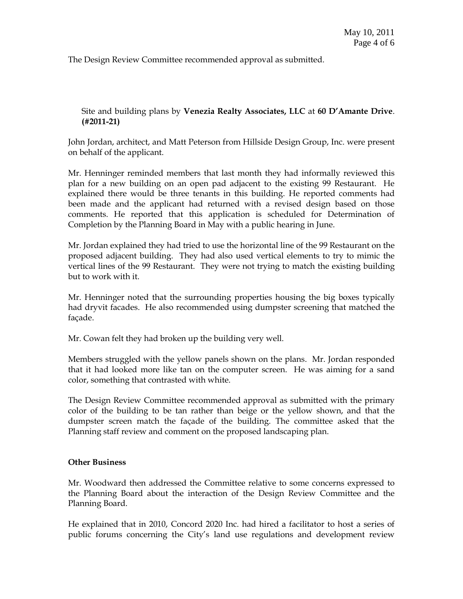The Design Review Committee recommended approval as submitted.

Site and building plans by **Venezia Realty Associates, LLC** at **60 D'Amante Drive**. **(#2011-21)**

John Jordan, architect, and Matt Peterson from Hillside Design Group, Inc. were present on behalf of the applicant.

Mr. Henninger reminded members that last month they had informally reviewed this plan for a new building on an open pad adjacent to the existing 99 Restaurant. He explained there would be three tenants in this building. He reported comments had been made and the applicant had returned with a revised design based on those comments. He reported that this application is scheduled for Determination of Completion by the Planning Board in May with a public hearing in June.

Mr. Jordan explained they had tried to use the horizontal line of the 99 Restaurant on the proposed adjacent building. They had also used vertical elements to try to mimic the vertical lines of the 99 Restaurant. They were not trying to match the existing building but to work with it.

Mr. Henninger noted that the surrounding properties housing the big boxes typically had dryvit facades. He also recommended using dumpster screening that matched the façade.

Mr. Cowan felt they had broken up the building very well.

Members struggled with the yellow panels shown on the plans. Mr. Jordan responded that it had looked more like tan on the computer screen. He was aiming for a sand color, something that contrasted with white.

The Design Review Committee recommended approval as submitted with the primary color of the building to be tan rather than beige or the yellow shown, and that the dumpster screen match the façade of the building. The committee asked that the Planning staff review and comment on the proposed landscaping plan.

#### **Other Business**

Mr. Woodward then addressed the Committee relative to some concerns expressed to the Planning Board about the interaction of the Design Review Committee and the Planning Board.

He explained that in 2010, Concord 2020 Inc. had hired a facilitator to host a series of public forums concerning the City's land use regulations and development review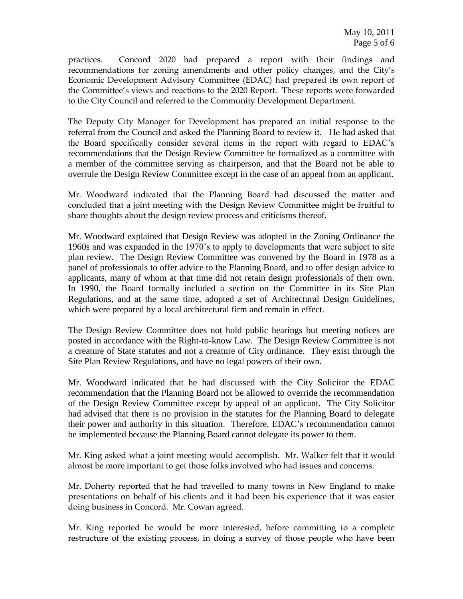practices. Concord 2020 had prepared a report with their findings and recommendations for zoning amendments and other policy changes, and the City's Economic Development Advisory Committee (EDAC) had prepared its own report of the Committee's views and reactions to the 2020 Report. These reports were forwarded to the City Council and referred to the Community Development Department.

The Deputy City Manager for Development has prepared an initial response to the referral from the Council and asked the Planning Board to review it. He had asked that the Board specifically consider several items in the report with regard to EDAC's recommendations that the Design Review Committee be formalized as a committee with a member of the committee serving as chairperson, and that the Board not be able to overrule the Design Review Committee except in the case of an appeal from an applicant.

Mr. Woodward indicated that the Planning Board had discussed the matter and concluded that a joint meeting with the Design Review Committee might be fruitful to share thoughts about the design review process and criticisms thereof.

Mr. Woodward explained that Design Review was adopted in the Zoning Ordinance the 1960s and was expanded in the 1970's to apply to developments that were subject to site plan review. The Design Review Committee was convened by the Board in 1978 as a panel of professionals to offer advice to the Planning Board, and to offer design advice to applicants, many of whom at that time did not retain design professionals of their own. In 1990, the Board formally included a section on the Committee in its Site Plan Regulations, and at the same time, adopted a set of Architectural Design Guidelines, which were prepared by a local architectural firm and remain in effect.

The Design Review Committee does not hold public hearings but meeting notices are posted in accordance with the Right-to-know Law. The Design Review Committee is not a creature of State statutes and not a creature of City ordinance. They exist through the Site Plan Review Regulations, and have no legal powers of their own.

Mr. Woodward indicated that he had discussed with the City Solicitor the EDAC recommendation that the Planning Board not be allowed to override the recommendation of the Design Review Committee except by appeal of an applicant. The City Solicitor had advised that there is no provision in the statutes for the Planning Board to delegate their power and authority in this situation. Therefore, EDAC's recommendation cannot be implemented because the Planning Board cannot delegate its power to them.

Mr. King asked what a joint meeting would accomplish. Mr. Walker felt that it would almost be more important to get those folks involved who had issues and concerns.

Mr. Doherty reported that he had travelled to many towns in New England to make presentations on behalf of his clients and it had been his experience that it was easier doing business in Concord. Mr. Cowan agreed.

Mr. King reported he would be more interested, before committing to a complete restructure of the existing process, in doing a survey of those people who have been